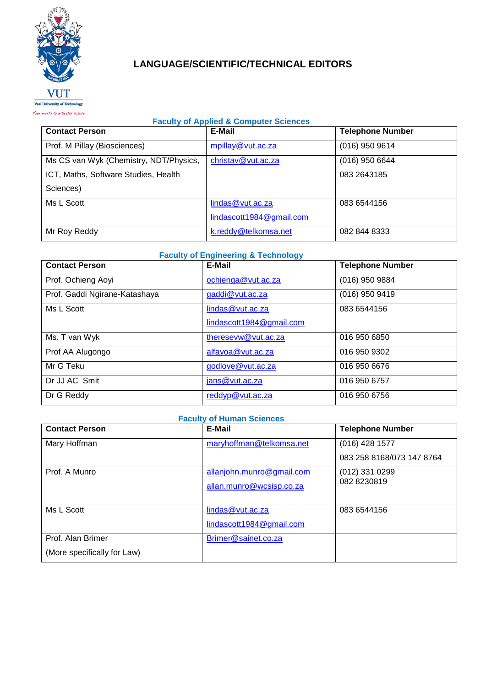

# **LANGUAGE/SCIENTIFIC/TECHNICAL EDITORS**

## **Faculty of Applied & Computer Sciences**

| <b>Contact Person</b>                  | E-Mail                       | <b>Telephone Number</b> |
|----------------------------------------|------------------------------|-------------------------|
| Prof. M Pillay (Biosciences)           | mpillay@vut.ac.za            | $(016)$ 950 9614        |
| Ms CS van Wyk (Chemistry, NDT/Physics, | christav@vut.ac.za           | $(016)$ 950 6644        |
| ICT, Maths, Software Studies, Health   |                              | 083 2643185             |
| Sciences)                              |                              |                         |
| Ms L Scott                             | lindas@vut.ac.za             | 083 6544156             |
|                                        | lindascott1984 $@$ gmail.com |                         |
| Mr Roy Reddy                           | k.reddy@telkomsa.net         | 082 844 8333            |

#### **Faculty of Engineering & Technology**

| <b>Contact Person</b>         | <b>E-Mail</b>            | <b>Telephone Number</b> |
|-------------------------------|--------------------------|-------------------------|
| Prof. Ochieng Aoyi            | ochienga@vut.ac.za       | (016) 950 9884          |
| Prof. Gaddi Ngirane-Katashaya | gaddi@vut.ac.za          | $(016)$ 950 9419        |
| Ms L Scott                    | lindas@vut.ac.za         | 083 6544156             |
|                               | lindascott1984@gmail.com |                         |
| Ms. T van Wyk                 | theresevw@vut.ac.za      | 016 950 6850            |
| Prof AA Alugongo              | alfayoa@vut.ac.za        | 016 950 9302            |
| Mr G Teku                     | godlove@vut.ac.za        | 016 950 6676            |
| Dr JJ AC Smit                 | jans@vut.ac.za           | 016 950 6757            |
| Dr G Reddy                    | reddyp@vut.ac.za         | 016 950 6756            |

### **Faculty of Human Sciences**

| <b>Contact Person</b>       | E-Mail                    | <b>Telephone Number</b>   |
|-----------------------------|---------------------------|---------------------------|
| Mary Hoffman                | maryhoffman@telkomsa.net  | $(016)$ 428 1577          |
|                             |                           | 083 258 8168/073 147 8764 |
| Prof. A Munro               | allanjohn.munro@gmail.com | (012) 331 0299            |
|                             | allan.munro@wcsisp.co.za  | 082 8230819               |
|                             |                           |                           |
| Ms L Scott                  | lindas@vut.ac.za          | 083 6544156               |
|                             | lindascott1984@gmail.com  |                           |
| Prof. Alan Brimer           | Brimer@sainet.co.za       |                           |
| (More specifically for Law) |                           |                           |